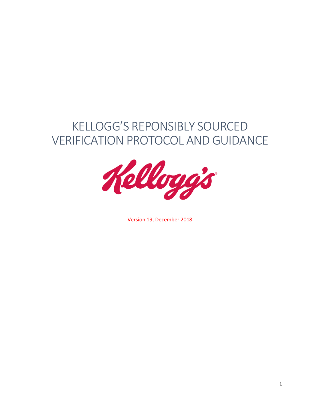# KELLOGG'S REPONSIBLY SOURCED VERIFICATION PROTOCOL AND GUIDANCE



Version 19, December 2018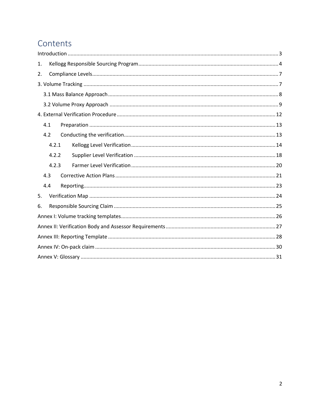## Contents

| 1.    |
|-------|
| 2.    |
|       |
|       |
|       |
|       |
| 4.1   |
| 4.2   |
| 4.2.1 |
| 4.2.2 |
| 4.2.3 |
| 4.3   |
| 4.4   |
| 5.    |
| 6.    |
|       |
|       |
|       |
|       |
|       |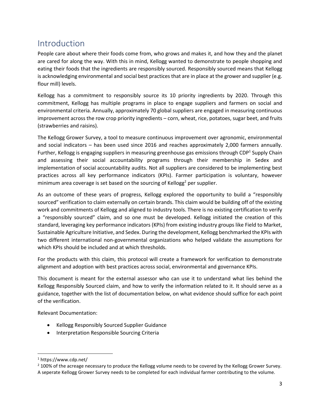### <span id="page-2-0"></span>Introduction

People care about where their foods come from, who grows and makes it, and how they and the planet are cared for along the way. With this in mind, Kellogg wanted to demonstrate to people shopping and eating their foods that the ingredients are responsibly sourced. Responsibly sourced means that Kellogg is acknowledging environmental and social best practices that are in place at the grower and supplier (e.g. flour mill) levels.

Kellogg has a commitment to responsibly source its 10 priority ingredients by 2020. Through this commitment, Kellogg has multiple programs in place to engage suppliers and farmers on social and environmental criteria. Annually, approximately 70 global suppliers are engaged in measuring continuous improvement across the row crop priority ingredients – corn, wheat, rice, potatoes, sugar beet, and fruits (strawberries and raisins).

The Kellogg Grower Survey, a tool to measure continuous improvement over agronomic, environmental and social indicators – has been used since 2016 and reaches approximately 2,000 farmers annually. Further, Kellogg is engaging suppliers in measuring greenhouse gas emissions through CDP<sup>1</sup> Supply Chain and assessing their social accountability programs through their membership in Sedex and implementation of social accountability audits. Not all suppliers are considered to be implementing best practices across all key performance indicators (KPIs). Farmer participation is voluntary, however minimum area coverage is set based on the sourcing of Kellogg<sup>2</sup> per supplier.

As an outcome of these years of progress, Kellogg explored the opportunity to build a "responsibly sourced" verification to claim externally on certain brands. This claim would be building off of the existing work and commitments of Kellogg and aligned to industry tools. There is no existing certification to verify a "responsibly sourced" claim, and so one must be developed. Kellogg initiated the creation of this standard, leveraging key performance indicators (KPIs) from existing industry groups like Field to Market, Sustainable Agriculture Initiative, and Sedex. During the development, Kellogg benchmarked the KPIs with two different international non-governmental organizations who helped validate the assumptions for which KPIs should be included and at which thresholds.

For the products with this claim, this protocol will create a framework for verification to demonstrate alignment and adoption with best practices across social, environmental and governance KPIs.

This document is meant for the external assessor who can use it to understand what lies behind the Kellogg Responsibly Sourced claim, and how to verify the information related to it. It should serve as a guidance, together with the list of documentation below, on what evidence should suffice for each point of the verification.

Relevant Documentation:

- Kellogg Responsibly Sourced Supplier Guidance
- Interpretation Responsible Sourcing Criteria

 $\overline{a}$ 

<sup>1</sup> https://www.cdp.net/

<sup>&</sup>lt;sup>2</sup> 100% of the acreage necessary to produce the Kellogg volume needs to be covered by the Kellogg Grower Survey. A seperate Kellogg Grower Survey needs to be completed for each individual farmer contributing to the volume.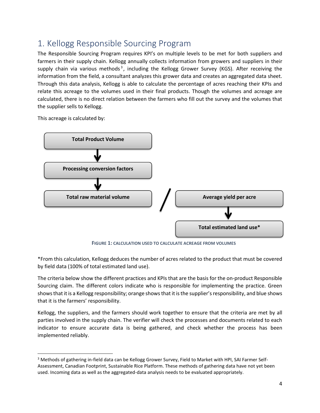## <span id="page-3-0"></span>1. Kellogg Responsible Sourcing Program

The Responsible Sourcing Program requires KPI's on multiple levels to be met for both suppliers and farmers in their supply chain. Kellogg annually collects information from growers and suppliers in their supply chain via various methods<sup>3</sup>, including the Kellogg Grower Survey (KGS). After receiving the information from the field, a consultant analyzes this grower data and creates an aggregated data sheet. Through this data analysis, Kellogg is able to calculate the percentage of acres reaching their KPIs and relate this acreage to the volumes used in their final products. Though the volumes and acreage are calculated, there is no direct relation between the farmers who fill out the survey and the volumes that the supplier sells to Kellogg.

This acreage is calculated by:

 $\overline{a}$ 



**FIGURE 1: CALCULATION USED TO CALCULATE ACREAGE FROM VOLUMES**

\*From this calculation, Kellogg deduces the number of acres related to the product that must be covered by field data (100% of total estimated land use).

The criteria below show the different practices and KPIs that are the basis for the on-product Responsible Sourcing claim. The different colors indicate who is responsible for implementing the practice. Green shows that it is a Kellogg responsibility; orange shows that it is the supplier's responsibility, and blue shows that it is the farmers' responsibility.

Kellogg, the suppliers, and the farmers should work together to ensure that the criteria are met by all parties involved in the supply chain. The verifier will check the processes and documents related to each indicator to ensure accurate data is being gathered, and check whether the process has been implemented reliably.

<sup>&</sup>lt;sup>3</sup> Methods of gathering in-field data can be Kellogg Grower Survey, Field to Market with HPI, SAI Farmer Self-Assessment, Canadian Footprint, Sustainable Rice Platform. These methods of gathering data have not yet been used. Incoming data as well as the aggregated-data analysis needs to be evaluated appropriately.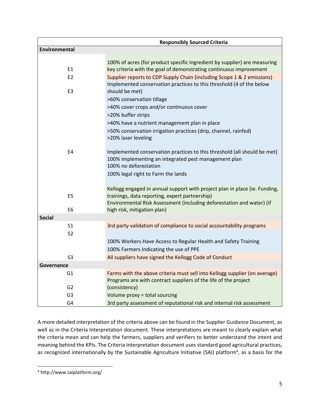|                      | <b>Responsibly Sourced Criteria</b>                                                                                                                                                                   |
|----------------------|-------------------------------------------------------------------------------------------------------------------------------------------------------------------------------------------------------|
| <b>Environmental</b> |                                                                                                                                                                                                       |
| E <sub>1</sub>       | 100% of acres (for product specific ingredient by supplier) are measuring<br>key criteria with the goal of demonstrating continuous improvement                                                       |
| E <sub>2</sub>       | Supplier reports to CDP Supply Chain (including Scope 1 & 2 emissions)                                                                                                                                |
|                      | Implemented conservation practices to this threshold (4 of the below                                                                                                                                  |
| E <sub>3</sub>       | should be met)                                                                                                                                                                                        |
|                      | >60% conservation tillage                                                                                                                                                                             |
|                      | >40% cover crops and/or continuous cover                                                                                                                                                              |
|                      | >20% buffer strips                                                                                                                                                                                    |
|                      | >40% have a nutrient management plan in place                                                                                                                                                         |
|                      | >50% conservation irrigation practices (drip, channel, rainfed)<br>>20% laser leveling                                                                                                                |
| E4                   | Implemented conservation practices to this threshold (all should be met)<br>100% implementing an integrated pest management plan<br>100% no deforestation                                             |
|                      | 100% legal right to Farm the lands                                                                                                                                                                    |
| E <sub>5</sub>       | Kellogg engaged in annual support with project plan in place (ie. Funding,<br>trainings, data reporting, expert partnership)<br>Environmental Risk Assessment (including deforestation and water) (if |
| E <sub>6</sub>       | high risk, mitigation plan)                                                                                                                                                                           |
| <b>Social</b>        |                                                                                                                                                                                                       |
| S <sub>1</sub>       | 3rd party validation of compliance to social accountability programs                                                                                                                                  |
| S <sub>2</sub>       | 100% Workers Have Access to Regular Health and Safety Training<br>100% Farmers Indicating the use of PPE                                                                                              |
| S <sub>3</sub>       | All suppliers have signed the Kellogg Code of Conduct                                                                                                                                                 |
| Governance           |                                                                                                                                                                                                       |
| G1                   | Farms with the above criteria must sell into Kellogg supplier (on average)<br>Programs are with contract suppliers of the life of the project                                                         |
| G <sub>2</sub>       | (consistency)                                                                                                                                                                                         |
| G <sub>3</sub>       | Volume proxy = total sourcing                                                                                                                                                                         |
| G4                   | 3rd party assessment of reputational risk and internal risk assessment                                                                                                                                |

A more detailed interpretation of the criteria above can be found in the Supplier Guidance Document, as well as in the Criteria Interpretation document. These interpretations are meant to clearly explain what the criteria mean and can help the farmers, suppliers and verifiers to better understand the intent and meaning behind the KPIs. The Criteria Interpretation document uses standard good agricultural practices, as recognized internationally by the Sustainable Agriculture Initiative (SAI) platform<sup>4</sup>, as a basis for the

 $\overline{\phantom{a}}$ 

<sup>4</sup> http://www.saiplatform.org/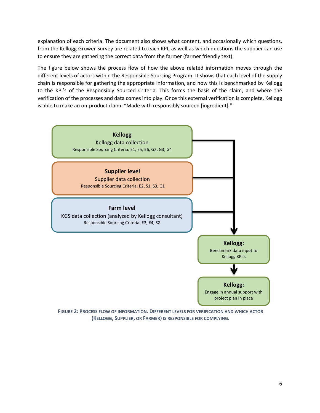explanation of each criteria. The document also shows what content, and occasionally which questions, from the Kellogg Grower Survey are related to each KPI, as well as which questions the supplier can use to ensure they are gathering the correct data from the farmer (farmer friendly text).

The figure below shows the process flow of how the above related information moves through the different levels of actors within the Responsible Sourcing Program. It shows that each level of the supply chain is responsible for gathering the appropriate information, and how this is benchmarked by Kellogg to the KPI's of the Responsibly Sourced Criteria. This forms the basis of the claim, and where the verification of the processes and data comes into play. Once this external verification is complete, Kellogg is able to make an on-product claim: "Made with responsibly sourced [ingredient]."



**FIGURE 2: PROCESS FLOW OF INFORMATION. DIFFERENT LEVELS FOR VERIFICATION AND WHICH ACTOR (KELLOGG, SUPPLIER, OR FARMER) IS RESPONSIBLE FOR COMPLYING.**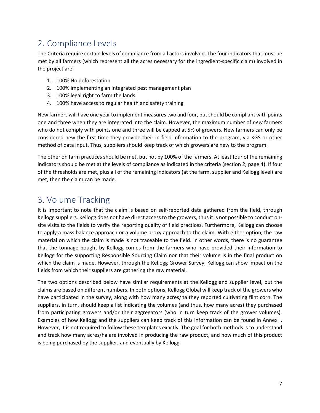## <span id="page-6-0"></span>2. Compliance Levels

The Criteria require certain levels of compliance from all actors involved. The four indicators that must be met by all farmers (which represent all the acres necessary for the ingredient-specific claim) involved in the project are:

- 1. 100% No deforestation
- 2. 100% implementing an integrated pest management plan
- 3. 100% legal right to farm the lands
- 4. 100% have access to regular health and safety training

New farmers will have one year to implement measures two and four, but should be compliant with points one and three when they are integrated into the claim. However, the maximum number of *new* farmers who do not comply with points one and three will be capped at 5% of growers. New farmers can only be considered new the first time they provide their in-field information to the program, via KGS or other method of data input. Thus, suppliers should keep track of which growers are new to the program.

The other on farm practices should be met, but not by 100% of the farmers. At least four of the remaining indicators should be met at the levels of compliance as indicated in the criteria (section 2; page 4). If four of the thresholds are met, plus all of the remaining indicators (at the farm, supplier and Kellogg level) are met, then the claim can be made.

### <span id="page-6-1"></span>3. Volume Tracking

It is important to note that the claim is based on self-reported data gathered from the field, through Kellogg suppliers. Kellogg does not have direct access to the growers, thus it is not possible to conduct onsite visits to the fields to verify the reporting quality of field practices. Furthermore, Kellogg can choose to apply a mass balance approach or a volume proxy approach to the claim. With either option, the raw material on which the claim is made is not traceable to the field. In other words, there is no guarantee that the tonnage bought by Kellogg comes from the farmers who have provided their information to Kellogg for the supporting Responsible Sourcing Claim nor that their volume is in the final product on which the claim is made. However, through the Kellogg Grower Survey, Kellogg can show impact on the fields from which their suppliers are gathering the raw material.

The two options described below have similar requirements at the Kellogg and supplier level, but the claims are based on different numbers. In both options, Kellogg Global will keep track of the growers who have participated in the survey, along with how many acres/ha they reported cultivating flint corn. The suppliers, in turn, should keep a list indicating the volumes (and thus, how many acres) they purchased from participating growers and/or their aggregators (who in turn keep track of the grower volumes). Examples of how Kellogg and the suppliers can keep track of this information can be found in Annex I. However, it is not required to follow these templates exactly. The goal for both methods is to understand and track how many acres/ha are involved in producing the raw product, and how much of this product is being purchased by the supplier, and eventually by Kellogg.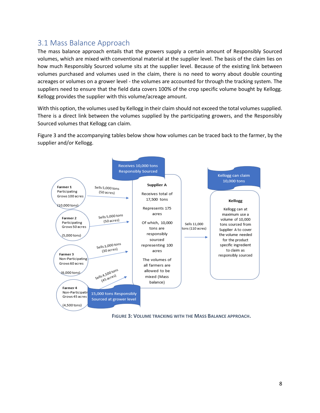### <span id="page-7-0"></span>3.1 Mass Balance Approach

The mass balance approach entails that the growers supply a certain amount of Responsibly Sourced volumes, which are mixed with conventional material at the supplier level. The basis of the claim lies on how much Responsibly Sourced volume sits at the supplier level. Because of the existing link between volumes purchased and volumes used in the claim, there is no need to worry about double counting acreages or volumes on a grower level - the volumes are accounted for through the tracking system. The suppliers need to ensure that the field data covers 100% of the crop specific volume bought by Kellogg. Kellogg provides the supplier with this volume/acreage amount.

With this option, the volumes used by Kellogg in their claim should not exceed the total volumes supplied. There is a direct link between the volumes supplied by the participating growers, and the Responsibly Sourced volumes that Kellogg can claim.

Figure 3 and the accompanying tables below show how volumes can be traced back to the farmer, by the supplier and/or Kellogg.



**FIGURE 3: VOLUME TRACKING WITH THE MASS BALANCE APPROACH.**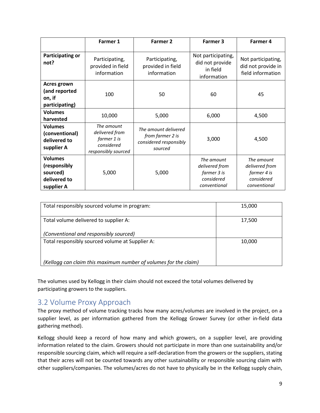|                                                                          | Farmer 1                                                                         | Farmer 2                                                                      | Farmer 3                                                                  | Farmer 4                                                                  |
|--------------------------------------------------------------------------|----------------------------------------------------------------------------------|-------------------------------------------------------------------------------|---------------------------------------------------------------------------|---------------------------------------------------------------------------|
| <b>Participating or</b><br>not?                                          | Participating,<br>provided in field<br>information                               | Participating,<br>provided in field<br>information                            | Not participating,<br>did not provide<br>in field<br>information          | Not participating,<br>did not provide in<br>field information             |
| <b>Acres grown</b><br>(and reported<br>on, if<br>participating)          | 100                                                                              | 50                                                                            | 60                                                                        | 45                                                                        |
| <b>Volumes</b><br>harvested                                              | 10,000                                                                           | 5,000                                                                         | 6,000                                                                     | 4,500                                                                     |
| <b>Volumes</b><br>(conventional)<br>delivered to<br>supplier A           | The amount<br>delivered from<br>farmer 1 is<br>considered<br>responsibly sourced | The amount delivered<br>from farmer 2 is<br>considered responsibly<br>sourced | 3,000                                                                     | 4,500                                                                     |
| <b>Volumes</b><br>(responsibly<br>sourced)<br>delivered to<br>supplier A | 5,000                                                                            | 5,000                                                                         | The amount<br>delivered from<br>farmer 3 is<br>considered<br>conventional | The amount<br>delivered from<br>farmer 4 is<br>considered<br>conventional |

| Total responsibly sourced volume in program:                     | 15,000 |
|------------------------------------------------------------------|--------|
| Total volume delivered to supplier A:                            | 17,500 |
| (Conventional and responsibly sourced)                           |        |
| Total responsibly sourced volume at Supplier A:                  | 10,000 |
| (Kellogg can claim this maximum number of volumes for the claim) |        |

The volumes used by Kellogg in their claim should not exceed the total volumes delivered by participating growers to the suppliers.

### <span id="page-8-0"></span>3.2 Volume Proxy Approach

The proxy method of volume tracking tracks how many acres/volumes are involved in the project, on a supplier level, as per information gathered from the Kellogg Grower Survey (or other in-field data gathering method).

Kellogg should keep a record of how many and which growers, on a supplier level, are providing information related to the claim. Growers should not participate in more than one sustainability and/or responsible sourcing claim, which will require a self-declaration from the growers or the suppliers, stating that their acres will not be counted towards any other sustainability or responsible sourcing claim with other suppliers/companies. The volumes/acres do not have to physically be in the Kellogg supply chain,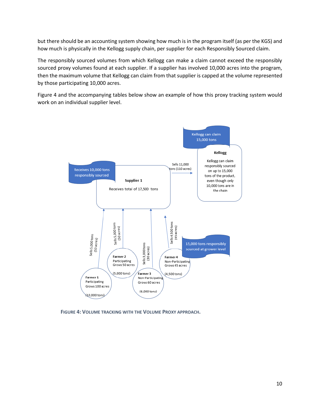but there should be an accounting system showing how much is in the program itself (as per the KGS) and how much is physically in the Kellogg supply chain, per supplier for each Responsibly Sourced claim.

The responsibly sourced volumes from which Kellogg can make a claim cannot exceed the responsibly sourced proxy volumes found at each supplier. If a supplier has involved 10,000 acres into the program, then the maximum volume that Kellogg can claim from that supplier is capped at the volume represented by those participating 10,000 acres.

Figure 4 and the accompanying tables below show an example of how this proxy tracking system would work on an individual supplier level.



**FIGURE 4: VOLUME TRACKING WITH THE VOLUME PROXY APPROACH.**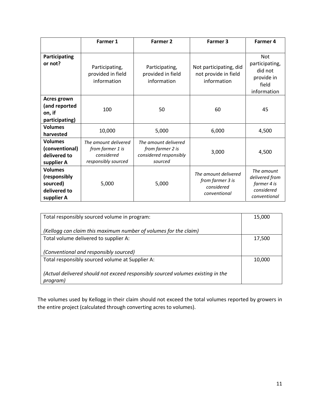|                                                                          | Farmer 1                                                                      | Farmer 2                                                                      | Farmer 3                                                               | Farmer 4                                                                      |
|--------------------------------------------------------------------------|-------------------------------------------------------------------------------|-------------------------------------------------------------------------------|------------------------------------------------------------------------|-------------------------------------------------------------------------------|
|                                                                          |                                                                               |                                                                               |                                                                        |                                                                               |
| Participating<br>or not?                                                 | Participating,<br>provided in field<br>information                            | Participating,<br>provided in field<br>information                            | Not participating, did<br>not provide in field<br>information          | <b>Not</b><br>participating,<br>did not<br>provide in<br>field<br>information |
| <b>Acres grown</b><br>(and reported<br>on, if<br>participating)          | 100                                                                           | 50                                                                            | 60                                                                     | 45                                                                            |
| <b>Volumes</b><br>harvested                                              | 10,000                                                                        | 5,000                                                                         | 6,000                                                                  | 4,500                                                                         |
| <b>Volumes</b><br>(conventional)<br>delivered to<br>supplier A           | The amount delivered<br>from farmer 1 is<br>considered<br>responsibly sourced | The amount delivered<br>from farmer 2 is<br>considered responsibly<br>sourced | 3,000                                                                  | 4,500                                                                         |
| <b>Volumes</b><br>(responsibly<br>sourced)<br>delivered to<br>supplier A | 5,000                                                                         | 5,000                                                                         | The amount delivered<br>from farmer 3 is<br>considered<br>conventional | The amount<br>delivered from<br>farmer 4 is<br>considered<br>conventional     |

| Total responsibly sourced volume in program:                                                | 15,000 |
|---------------------------------------------------------------------------------------------|--------|
| (Kellogg can claim this maximum number of volumes for the claim)                            |        |
| Total volume delivered to supplier A:                                                       | 17,500 |
| (Conventional and responsibly sourced)                                                      |        |
| Total responsibly sourced volume at Supplier A:                                             | 10,000 |
| (Actual delivered should not exceed responsibly sourced volumes existing in the<br>program) |        |

The volumes used by Kellogg in their claim should not exceed the total volumes reported by growers in the entire project (calculated through converting acres to volumes).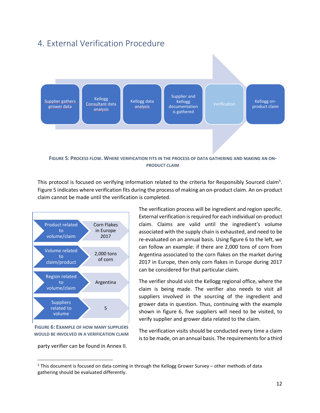### <span id="page-11-0"></span>4. External Verification Procedure



This protocol is focused on verifying information related to the criteria for Responsibly Sourced claim<sup>5</sup>. Figure 5 indicates where verification fits during the process of making an on-product claim. An on-product claim cannot be made until the verification is completed.



**FIGURE 6: EXAMPLE OF HOW MANY SUPPLIERS WOULD BE INVOLVED IN A VERIFICATION CLAIM**

party verifier can be found in Annex II.

 $\overline{\phantom{a}}$ 

The verification process will be ingredient and region specific. External verification is required for each individual on-product claim. Claims are valid until the ingredient's volume associated with the supply chain is exhausted, and need to be re-evaluated on an annual basis. Using figure 6 to the left, we can follow an example: if there are 2,000 tons of corn from Argentina associated to the corn flakes on the market during 2017 in Europe, then only corn flakes in Europe during 2017 can be considered for that particular claim.

The verifier should visit the Kellogg regional office, where the claim is being made. The verifier also needs to visit all suppliers involved in the sourcing of the ingredient and grower data in question. Thus, continuing with the example shown in figure 6, five suppliers will need to be visited, to verify supplier and grower data related to the claim.

The verification visits should be conducted every time a claim is to be made, on an annual basis. The requirements for a third

 $5$  This document is focused on data coming in through the Kellogg Grower Survey – other methods of data gathering should be evaluated differently.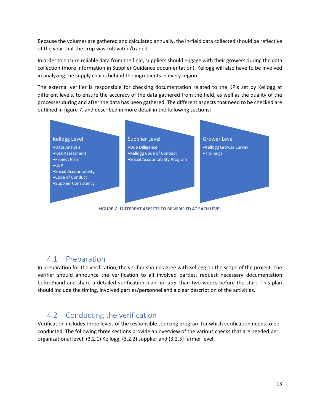Because the volumes are gathered and calculated annually, the in-field data collected should be reflective of the year that the crop was cultivated/traded.

In order to ensure reliable data from the field, suppliers should engage with their growers during the data collection (more information in Supplier Guidance documentation). Kellogg will also have to be involved in analyzing the supply chains behind the ingredients in every region.

The external verifier is responsible for checking documentation related to the KPIs set by Kellogg at different levels, to ensure the accuracy of the data gathered from the field, as well as the quality of the processes during and after the data has been gathered. The different aspects that need to be checked are outlined in figure 7, and described in more detail in the following sections:



**FIGURE 7: DIFFERENT ASPECTS TO BE VERIFIED AT EACH LEVEL**

### <span id="page-12-0"></span>4.1 Preparation

In preparation for the verification, the verifier should agree with Kellogg on the scope of the project. The verifier should announce the verification to all involved parties, request necessary documentation beforehand and share a detailed verification plan no later than two weeks before the start. This plan should include the timing, involved parties/personnel and a clear description of the activities.

### <span id="page-12-1"></span>4.2 Conducting the verification

Verification includes three levels of the responsible sourcing program for which verification needs to be conducted. The following three sections provide an overview of the various checks that are needed per organizational level; (3.2.1) Kellogg, (3.2.2) supplier and (3.2.3) farmer level.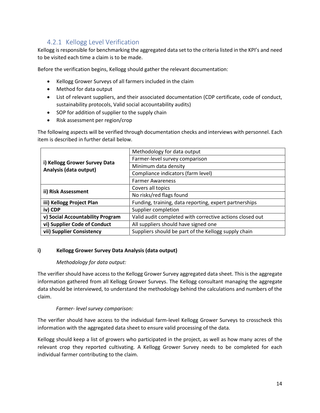### 4.2.1 Kellogg Level Verification

<span id="page-13-0"></span>Kellogg is responsible for benchmarking the aggregated data set to the criteria listed in the KPI's and need to be visited each time a claim is to be made.

Before the verification begins, Kellogg should gather the relevant documentation:

- Kellogg Grower Surveys of all farmers included in the claim
- Method for data output
- List of relevant suppliers, and their associated documentation (CDP certificate, code of conduct, sustainability protocols, Valid social accountability audits)
- SOP for addition of supplier to the supply chain
- Risk assessment per region/crop

The following aspects will be verified through documentation checks and interviews with personnel. Each item is described in further detail below.

| i) Kellogg Grower Survey Data<br>Analysis (data output)                             | Methodology for data output                              |  |
|-------------------------------------------------------------------------------------|----------------------------------------------------------|--|
|                                                                                     | Farmer-level survey comparison                           |  |
|                                                                                     | Minimum data density                                     |  |
|                                                                                     | Compliance indicators (farm level)                       |  |
|                                                                                     | <b>Farmer Awareness</b>                                  |  |
|                                                                                     | Covers all topics                                        |  |
| ii) Risk Assessment                                                                 | No risks/red flags found                                 |  |
| iii) Kellogg Project Plan<br>Funding, training, data reporting, expert partnerships |                                                          |  |
| iv) CDP                                                                             | Supplier completion                                      |  |
| v) Social Accountability Program                                                    | Valid audit completed with corrective actions closed out |  |
| vi) Supplier Code of Conduct                                                        | All suppliers should have signed one                     |  |
| vii) Supplier Consistency                                                           | Suppliers should be part of the Kellogg supply chain     |  |

#### **i) Kellogg Grower Survey Data Analysis (data output)**

#### *Methodology for data output:*

The verifier should have access to the Kellogg Grower Survey aggregated data sheet. This is the aggregate information gathered from all Kellogg Grower Surveys. The Kellogg consultant managing the aggregate data should be interviewed, to understand the methodology behind the calculations and numbers of the claim.

#### *Farmer- level survey comparison:*

The verifier should have access to the individual farm-level Kellogg Grower Surveys to crosscheck this information with the aggregated data sheet to ensure valid processing of the data.

Kellogg should keep a list of growers who participated in the project, as well as how many acres of the relevant crop they reported cultivating. A Kellogg Grower Survey needs to be completed for each individual farmer contributing to the claim.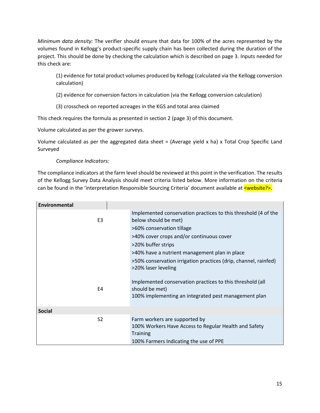*Minimum data density:* The verifier should ensure that data for 100% of the acres represented by the volumes found in Kellogg's product-specific supply chain has been collected during the duration of the project. This should be done by checking the calculation which is described on page 3. Inputs needed for this check are:

(1) evidence for total product volumes produced by Kellogg (calculated via the Kellogg conversion calculation)

(2) evidence for conversion factors in calculation (via the Kellogg conversion calculation)

(3) crosscheck on reported acreages in the KGS and total area claimed

This check requires the formula as presented in section 2 (page 3) of this document.

Volume calculated as per the grower surveys.

Volume calculated as per the aggregated data sheet = (Average yield x ha) x Total Crop Specific Land Surveyed

#### *Compliance Indicators:*

The compliance indicators at the farm level should be reviewed at this point in the verification. The results of the Kellogg Survey Data Analysis should meet criteria listed below. More information on the criteria can be found in the 'interpretation Responsible Sourcing Criteria' document available at  $\leq$ website?>.

| <b>Environmental</b> |                                                                                                                                                                                                                                                                                                                                  |
|----------------------|----------------------------------------------------------------------------------------------------------------------------------------------------------------------------------------------------------------------------------------------------------------------------------------------------------------------------------|
| E <sub>3</sub>       | Implemented conservation practices to this threshold (4 of the<br>below should be met)<br>>60% conservation tillage<br>>40% cover crops and/or continuous cover<br>>20% buffer strips<br>>40% have a nutrient management plan in place<br>>50% conservation irrigation practices (drip, channel, rainfed)<br>>20% laser leveling |
| E4                   | Implemented conservation practices to this threshold (all<br>should be met)<br>100% implementing an integrated pest management plan                                                                                                                                                                                              |
| <b>Social</b>        |                                                                                                                                                                                                                                                                                                                                  |
| S <sub>2</sub>       | Farm workers are supported by<br>100% Workers Have Access to Regular Health and Safety<br><b>Training</b><br>100% Farmers Indicating the use of PPE                                                                                                                                                                              |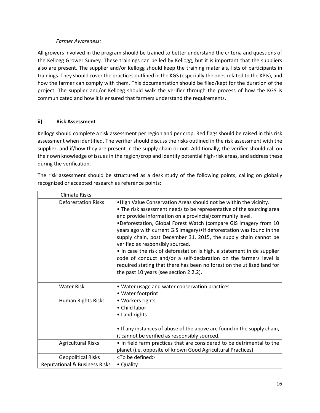#### *Farmer Awareness:*

All growers involved in the program should be trained to better understand the criteria and questions of the Kellogg Grower Survey. These trainings can be led by Kellogg, but it is important that the suppliers also are present. The supplier and/or Kellogg should keep the training materials, lists of participants in trainings. They should cover the practices outlined in the KGS (especially the ones related to the KPIs), and how the farmer can comply with them. This documentation should be filed/kept for the duration of the project. The supplier and/or Kellogg should walk the verifier through the process of how the KGS is communicated and how it is ensured that farmers understand the requirements.

#### **ii) Risk Assessment**

Kellogg should complete a risk assessment per region and per crop. Red flags should be raised in this risk assessment when identified. The verifier should discuss the risks outlined in the risk assessment with the supplier, and if/how they are present in the supply chain or not. Additionally, the verifier should call on their own knowledge of issues in the region/crop and identify potential high-risk areas, and address these during the verification.

The risk assessment should be structured as a desk study of the following points, calling on globally recognized or accepted research as reference points:

| <b>Climate Risks</b>                     |                                                                                                                                                                                                                                                                                                                                                                                                                                                                                                                                                                                                                                                                                                                                     |
|------------------------------------------|-------------------------------------------------------------------------------------------------------------------------------------------------------------------------------------------------------------------------------------------------------------------------------------------------------------------------------------------------------------------------------------------------------------------------------------------------------------------------------------------------------------------------------------------------------------------------------------------------------------------------------------------------------------------------------------------------------------------------------------|
| <b>Deforestation Risks</b>               | . High Value Conservation Areas should not be within the vicinity.<br>• The risk assessment needs to be representative of the sourcing area<br>and provide information on a provincial/community level.<br>.Deforestation, Global Forest Watch (compare GIS imagery from 10<br>years ago with current GIS imagery) . If deforestation was found in the<br>supply chain, post December 31, 2015, the supply chain cannot be<br>verified as responsibly sourced.<br>. In case the risk of deforestation is high, a statement in de supplier<br>code of conduct and/or a self-declaration on the farmers level is<br>required stating that there has been no forest on the utilized land for<br>the past 10 years (see section 2.2.2). |
| <b>Water Risk</b>                        | • Water usage and water conservation practices<br>• Water footprint                                                                                                                                                                                                                                                                                                                                                                                                                                                                                                                                                                                                                                                                 |
| Human Rights Risks                       | • Workers rights<br>• Child labor<br>• Land rights<br>• If any instances of abuse of the above are found in the supply chain,<br>it cannot be verified as responsibly sourced.                                                                                                                                                                                                                                                                                                                                                                                                                                                                                                                                                      |
| <b>Agricultural Risks</b>                | . In field farm practices that are considered to be detrimental to the<br>planet (i.e. opposite of known Good Agricultural Practices)                                                                                                                                                                                                                                                                                                                                                                                                                                                                                                                                                                                               |
| <b>Geopolitical Risks</b>                | <to be="" defined=""></to>                                                                                                                                                                                                                                                                                                                                                                                                                                                                                                                                                                                                                                                                                                          |
| <b>Reputational &amp; Business Risks</b> | • Quality                                                                                                                                                                                                                                                                                                                                                                                                                                                                                                                                                                                                                                                                                                                           |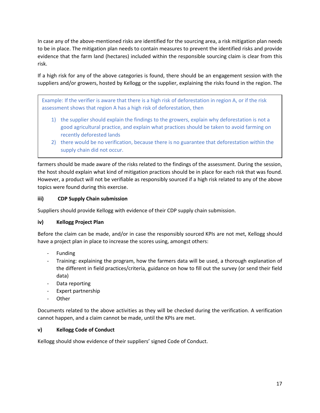In case any of the above-mentioned risks are identified for the sourcing area, a risk mitigation plan needs to be in place. The mitigation plan needs to contain measures to prevent the identified risks and provide evidence that the farm land (hectares) included within the responsible sourcing claim is clear from this risk.

If a high risk for any of the above categories is found, there should be an engagement session with the suppliers and/or growers, hosted by Kellogg or the supplier, explaining the risks found in the region. The

Example: If the verifier is aware that there is a high risk of deforestation in region A, or if the risk assessment shows that region A has a high risk of deforestation, then

- 1) the supplier should explain the findings to the growers, explain why deforestation is not a good agricultural practice, and explain what practices should be taken to avoid farming on recently deforested lands
- 2) there would be no verification, because there is no guarantee that deforestation within the supply chain did not occur.

farmers should be made aware of the risks related to the findings of the assessment. During the session, the host should explain what kind of mitigation practices should be in place for each risk that was found. However, a product will not be verifiable as responsibly sourced if a high risk related to any of the above topics were found during this exercise.

#### **iii) CDP Supply Chain submission**

Suppliers should provide Kellogg with evidence of their CDP supply chain submission.

#### **iv) Kellogg Project Plan**

Before the claim can be made, and/or in case the responsibly sourced KPIs are not met, Kellogg should have a project plan in place to increase the scores using, amongst others:

- **Funding**
- Training: explaining the program, how the farmers data will be used, a thorough explanation of the different in field practices/criteria, guidance on how to fill out the survey (or send their field data)
- Data reporting
- Expert partnership
- Other

Documents related to the above activities as they will be checked during the verification. A verification cannot happen, and a claim cannot be made, until the KPIs are met.

#### **v) Kellogg Code of Conduct**

Kellogg should show evidence of their suppliers' signed Code of Conduct.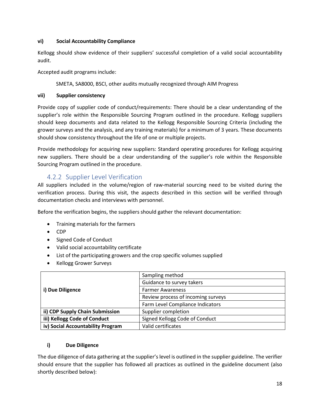#### **vi) Social Accountability Compliance**

Kellogg should show evidence of their suppliers' successful completion of a valid social accountability audit.

Accepted audit programs include:

SMETA, SA8000, BSCI, other audits mutually recognized through AIM Progress

#### **vii) Supplier consistency**

Provide copy of supplier code of conduct/requirements: There should be a clear understanding of the supplier's role within the Responsible Sourcing Program outlined in the procedure. Kellogg suppliers should keep documents and data related to the Kellogg Responsible Sourcing Criteria (including the grower surveys and the analysis, and any training materials) for a minimum of 3 years. These documents should show consistency throughout the life of one or multiple projects.

Provide methodology for acquiring new suppliers: Standard operating procedures for Kellogg acquiring new suppliers. There should be a clear understanding of the supplier's role within the Responsible Sourcing Program outlined in the procedure.

### 4.2.2 Supplier Level Verification

<span id="page-17-0"></span>All suppliers included in the volume/region of raw-material sourcing need to be visited during the verification process. During this visit, the aspects described in this section will be verified through documentation checks and interviews with personnel.

Before the verification begins, the suppliers should gather the relevant documentation:

- Training materials for the farmers
- CDP
- Signed Code of Conduct
- Valid social accountability certificate
- List of the participating growers and the crop specific volumes supplied
- Kellogg Grower Surveys

|                                   | Sampling method                    |
|-----------------------------------|------------------------------------|
| i) Due Diligence                  | Guidance to survey takers          |
|                                   | <b>Farmer Awareness</b>            |
|                                   | Review process of incoming surveys |
|                                   | Farm Level Compliance Indicators   |
| ii) CDP Supply Chain Submission   | Supplier completion                |
| iii) Kellogg Code of Conduct      | Signed Kellogg Code of Conduct     |
| iv) Social Accountability Program | Valid certificates                 |

#### **i) Due Diligence**

The due diligence of data gathering at the supplier's level is outlined in the supplier guideline. The verifier should ensure that the supplier has followed all practices as outlined in the guideline document (also shortly described below):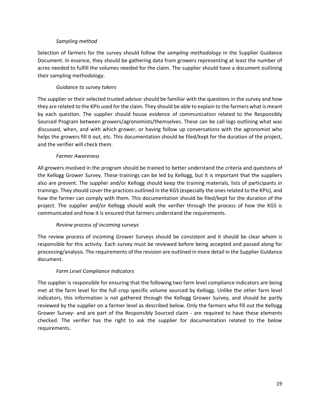#### *Sampling method*

Selection of farmers for the survey should follow the *sampling methodology* in the Supplier Guidance Document. In essence, they should be gathering data from growers representing at least the number of acres needed to fulfill the volumes needed for the claim. The supplier should have a document outlining their sampling methodology.

#### *Guidance to survey takers*

The supplier or their selected trusted advisor should be familiar with the questions in the survey and how they are related to the KPIs used for the claim. They should be able to explain to the farmers what is meant by each question. The supplier should house evidence of communication related to the Responsibly Sourced Program between growers/agronomists/themselves. These can be call logs outlining what was discussed, when, and with which grower, or having follow up conversations with the agronomist who helps the growers fill it out, etc. This documentation should be filed/kept for the duration of the project, and the verifier will check them.

#### *Farmer Awareness*

All growers involved in the program should be trained to better understand the criteria and questions of the Kellogg Grower Survey. These trainings can be led by Kellogg, but it is important that the suppliers also are present. The supplier and/or Kellogg should keep the training materials, lists of participants in trainings. They should cover the practices outlined in the KGS (especially the ones related to the KPIs), and how the farmer can comply with them. This documentation should be filed/kept for the duration of the project. The supplier and/or Kellogg should walk the verifier through the process of how the KGS is communicated and how it is ensured that farmers understand the requirements.

#### *Review process of incoming surveys*

The review process of incoming Grower Surveys should be consistent and it should be clear whom is responsible for this activity. Each survey must be reviewed before being accepted and passed along for processing/analysis. The requirements of the revision are outlined in more detail in the Supplier Guidance document.

#### *Farm Level Compliance Indicators*

The supplier is responsible for ensuring that the following two farm level compliance indicators are being met at the farm level for the full crop specific volume sourced by Kellogg. Unlike the other farm level indicators, this information is not gathered through the Kellogg Grower Survey, and should be partly reviewed by the supplier on a farmer level as described below. Only the farmers who fill out the Kellogg Grower Survey- and are part of the Responsibly Sourced claim - are required to have these elements checked. The verifier has the right to ask the supplier for documentation related to the below requirements.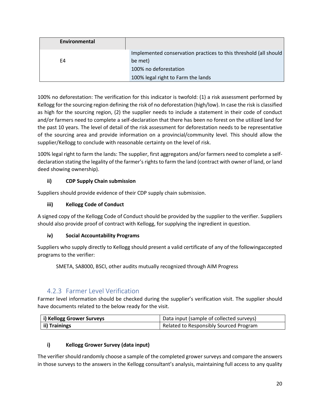| Environmental |                                                                  |
|---------------|------------------------------------------------------------------|
|               | Implemented conservation practices to this threshold (all should |
| F4            | be met)                                                          |
|               | 100% no deforestation                                            |
|               | 100% legal right to Farm the lands                               |

100% no deforestation: The verification for this indicator is twofold: (1) a risk assessment performed by Kellogg for the sourcing region defining the risk of no deforestation (high/low). In case the risk is classified as high for the sourcing region, (2) the supplier needs to include a statement in their code of conduct and/or farmers need to complete a self-declaration that there has been no forest on the utilized land for the past 10 years. The level of detail of the risk assessment for deforestation needs to be representative of the sourcing area and provide information on a provincial/community level. This should allow the supplier/Kellogg to conclude with reasonable certainty on the level of risk.

100% legal right to farm the lands: The supplier, first aggregators and/or farmers need to complete a selfdeclaration stating the legality of the farmer's rights to farm the land (contract with owner of land, or land deed showing ownership).

#### **ii) CDP Supply Chain submission**

Suppliers should provide evidence of their CDP supply chain submission.

#### **iii) Kellogg Code of Conduct**

A signed copy of the Kellogg Code of Conduct should be provided by the supplier to the verifier. Suppliers should also provide proof of contract with Kellogg, for supplying the ingredient in question.

#### **iv) Social Accountability Programs**

Suppliers who supply directly to Kellogg should present a valid certificate of any of the followingaccepted programs to the verifier:

SMETA, SA8000, BSCI, other audits mutually recognized through AIM Progress

#### 4.2.3 Farmer Level Verification

<span id="page-19-0"></span>Farmer level information should be checked during the supplier's verification visit. The supplier should have documents related to the below ready for the visit.

| i) Kellogg Grower Surveys | Data input (sample of collected surveys) |
|---------------------------|------------------------------------------|
| ii) Trainings             | Related to Responsibly Sourced Program   |

#### **i) Kellogg Grower Survey (data input)**

The verifier should randomly choose a sample of the completed grower surveys and compare the answers in those surveys to the answers in the Kellogg consultant's analysis, maintaining full access to any quality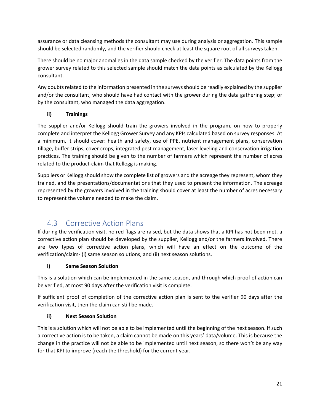assurance or data cleansing methods the consultant may use during analysis or aggregation. This sample should be selected randomly, and the verifier should check at least the square root of all surveys taken.

There should be no major anomalies in the data sample checked by the verifier. The data points from the grower survey related to this selected sample should match the data points as calculated by the Kellogg consultant.

Any doubts related to the information presented in the surveys should be readily explained by the supplier and/or the consultant, who should have had contact with the grower during the data gathering step; or by the consultant, who managed the data aggregation.

#### **ii) Trainings**

The supplier and/or Kellogg should train the growers involved in the program, on how to properly complete and interpret the Kellogg Grower Survey and any KPIs calculated based on survey responses. At a minimum, it should cover: health and safety, use of PPE, nutrient management plans, conservation tillage, buffer strips, cover crops, integrated pest management, laser leveling and conservation irrigation practices. The training should be given to the number of farmers which represent the number of acres related to the product-claim that Kellogg is making.

Suppliers or Kellogg should show the complete list of growers and the acreage they represent, whom they trained, and the presentations/documentations that they used to present the information. The acreage represented by the growers involved in the training should cover at least the number of acres necessary to represent the volume needed to make the claim.

### 4.3 Corrective Action Plans

<span id="page-20-0"></span>If during the verification visit, no red flags are raised, but the data shows that a KPI has not been met, a corrective action plan should be developed by the supplier, Kellogg and/or the farmers involved. There are two types of corrective action plans, which will have an effect on the outcome of the verification/claim- (i) same season solutions, and (ii) next season solutions.

#### **i) Same Season Solution**

This is a solution which can be implemented in the same season, and through which proof of action can be verified, at most 90 days after the verification visit is complete.

If sufficient proof of completion of the corrective action plan is sent to the verifier 90 days after the verification visit, then the claim can still be made.

#### **ii) Next Season Solution**

This is a solution which will not be able to be implemented until the beginning of the next season. If such a corrective action is to be taken, a claim cannot be made on this years' data/volume. This is because the change in the practice will not be able to be implemented until next season, so there won't be any way for that KPI to improve (reach the threshold) for the current year.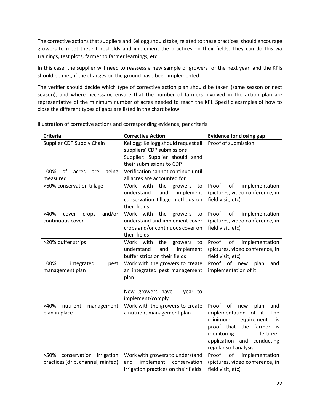The corrective actions that suppliers and Kellogg should take, related to these practices, should encourage growers to meet these thresholds and implement the practices on their fields. They can do this via trainings, test plots, farmer to farmer learnings, etc.

In this case, the supplier will need to reassess a new sample of growers for the next year, and the KPIs should be met, if the changes on the ground have been implemented.

The verifier should decide which type of corrective action plan should be taken (same season or next season), and where necessary, ensure that the number of farmers involved in the action plan are representative of the minimum number of acres needed to reach the KPI. Specific examples of how to close the different types of gaps are listed in the chart below.

| <b>Criteria</b>                                                    | <b>Corrective Action</b>                                                                                               | <b>Evidence for closing gap</b>                                                                                                                                                                                          |
|--------------------------------------------------------------------|------------------------------------------------------------------------------------------------------------------------|--------------------------------------------------------------------------------------------------------------------------------------------------------------------------------------------------------------------------|
| Supplier CDP Supply Chain                                          | Kellogg: Kellogg should request all<br>suppliers' CDP submissions<br>Supplier: Supplier should send                    | Proof of submission                                                                                                                                                                                                      |
|                                                                    | their submissions to CDP                                                                                               |                                                                                                                                                                                                                          |
| 100%<br>of<br>being<br>acres<br>are<br>measured                    | Verification cannot continue until<br>all acres are accounted for                                                      |                                                                                                                                                                                                                          |
| >60% conservation tillage                                          | Work with<br>the<br>growers<br>to<br>understand<br>and<br>implement<br>conservation tillage methods on<br>their fields | of<br>Proof<br>implementation<br>(pictures, video conference, in<br>field visit, etc)                                                                                                                                    |
| >40%<br>and/or<br>cover<br>crops<br>continuous cover               | Work with<br>the growers<br>to<br>understand and implement cover<br>crops and/or continuous cover on<br>their fields   | implementation<br>Proof<br>of<br>(pictures, video conference, in<br>field visit, etc)                                                                                                                                    |
| >20% buffer strips                                                 | Work<br>with<br>the<br>growers<br>to<br>understand<br>implement<br>and<br>buffer strips on their fields                | of<br>Proof<br>implementation<br>(pictures, video conference, in<br>field visit, etc)                                                                                                                                    |
| 100%<br>integrated<br>pest<br>management plan                      | Work with the growers to create<br>an integrated pest management<br>plan<br>New growers have 1 year to                 | Proof of<br>new<br>plan<br>and<br>implementation of it                                                                                                                                                                   |
|                                                                    | implement/comply                                                                                                       |                                                                                                                                                                                                                          |
| >40%<br>nutrient<br>management<br>plan in place                    | Work with the growers to create<br>a nutrient management plan                                                          | Proof<br>of<br>plan<br>new<br>and<br>implementation of it.<br>The<br>minimum<br>requirement<br>is<br>proof that the farmer<br>is.<br>monitoring<br>fertilizer<br>application<br>and conducting<br>regular soil analysis. |
| >50% conservation irrigation<br>practices (drip, channel, rainfed) | Work with growers to understand<br>implement<br>and<br>conservation<br>irrigation practices on their fields            | Proof<br>of<br>implementation<br>(pictures, video conference, in<br>field visit, etc)                                                                                                                                    |

Illustration of corrective actions and corresponding evidence, per criteria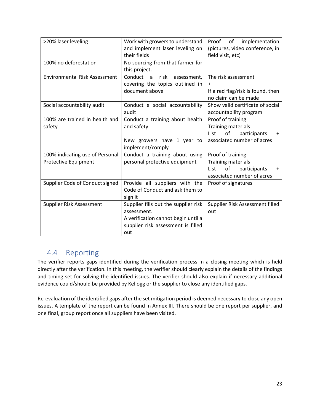| >20% laser leveling                  | Work with growers to understand                  | of<br>implementation<br>Proof           |
|--------------------------------------|--------------------------------------------------|-----------------------------------------|
|                                      | and implement laser leveling on                  | (pictures, video conference, in         |
|                                      | their fields                                     | field visit, etc)                       |
| 100% no deforestation                | No sourcing from that farmer for                 |                                         |
|                                      | this project.                                    |                                         |
| <b>Environmental Risk Assessment</b> | Conduct<br>risk<br>assessment,<br>$\overline{a}$ | The risk assessment                     |
|                                      | covering the topics outlined in                  | $\ddot{}$                               |
|                                      | document above                                   | If a red flag/risk is found, then       |
|                                      |                                                  | no claim can be made                    |
| Social accountability audit          | Conduct a social accountability                  | Show valid certificate of social        |
|                                      | audit                                            | accountability program                  |
| 100% are trained in health and       | Conduct a training about health                  | Proof of training                       |
| safety                               | and safety                                       | <b>Training materials</b>               |
|                                      |                                                  | of<br>List<br>participants<br>$\ddot{}$ |
|                                      | New growers have 1 year to                       | associated number of acres              |
|                                      | implement/comply                                 |                                         |
| 100% indicating use of Personal      | Conduct a training about using                   | Proof of training                       |
| Protective Equipment                 | personal protective equipment                    | <b>Training materials</b>               |
|                                      |                                                  | of<br>participants<br>List<br>$\ddot{}$ |
|                                      |                                                  | associated number of acres              |
| Supplier Code of Conduct signed      | Provide all suppliers with the                   | Proof of signatures                     |
|                                      | Code of Conduct and ask them to                  |                                         |
|                                      | sign it                                          |                                         |
| Supplier Risk Assessment             | Supplier fills out the supplier risk             | Supplier Risk Assessment filled         |
|                                      | assessment.                                      | out                                     |
|                                      | A verification cannot begin until a              |                                         |
|                                      | supplier risk assessment is filled               |                                         |
|                                      | out                                              |                                         |

### <span id="page-22-0"></span>4.4 Reporting

The verifier reports gaps identified during the verification process in a closing meeting which is held directly after the verification. In this meeting, the verifier should clearly explain the details of the findings and timing set for solving the identified issues. The verifier should also explain if necessary additional evidence could/should be provided by Kellogg or the supplier to close any identified gaps.

Re-evaluation of the identified gaps after the set mitigation period is deemed necessary to close any open issues. A template of the report can be found in Annex III. There should be one report per supplier, and one final, group report once all suppliers have been visited.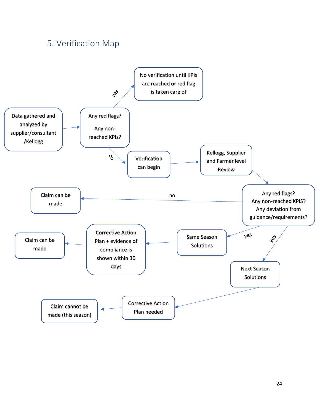## <span id="page-23-0"></span>5. Verification Map

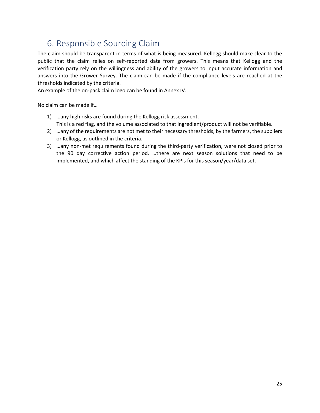## <span id="page-24-0"></span>6. Responsible Sourcing Claim

The claim should be transparent in terms of what is being measured. Kellogg should make clear to the public that the claim relies on self-reported data from growers. This means that Kellogg and the verification party rely on the willingness and ability of the growers to input accurate information and answers into the Grower Survey. The claim can be made if the compliance levels are reached at the thresholds indicated by the criteria.

An example of the on-pack claim logo can be found in Annex IV.

No claim can be made if…

- 1) …any high risks are found during the Kellogg risk assessment. This is a red flag, and the volume associated to that ingredient/product will not be verifiable.
- 2) …any of the requirements are not met to their necessary thresholds, by the farmers, the suppliers or Kellogg, as outlined in the criteria.
- 3) …any non-met requirements found during the third-party verification, were not closed prior to the 90 day corrective action period. …there are next season solutions that need to be implemented, and which affect the standing of the KPIs for this season/year/data set.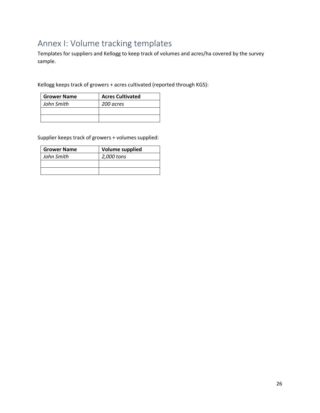## <span id="page-25-0"></span>Annex I: Volume tracking templates

Templates for suppliers and Kellogg to keep track of volumes and acres/ha covered by the survey sample.

Kellogg keeps track of growers + acres cultivated (reported through KGS):

| <b>Grower Name</b> | <b>Acres Cultivated</b> |
|--------------------|-------------------------|
| John Smith         | 200 acres               |
|                    |                         |
|                    |                         |

Supplier keeps track of growers + volumes supplied:

| <b>Grower Name</b> | <b>Volume supplied</b> |
|--------------------|------------------------|
| John Smith         | 2,000 tons             |
|                    |                        |
|                    |                        |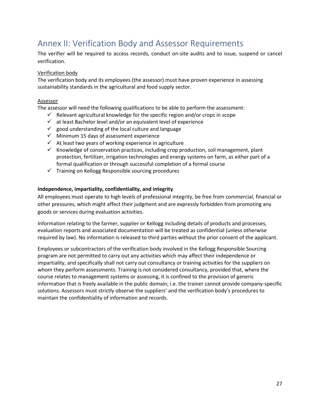## <span id="page-26-0"></span>Annex II: Verification Body and Assessor Requirements

The verifier will be required to access records, conduct on-site audits and to issue, suspend or cancel verification.

#### Verification body

The verification body and its employees (the assessor) must have proven experience in assessing sustainability standards in the agricultural and food supply sector.

#### Assessor

The assessor will need the following qualifications to be able to perform the assessment:

- $\checkmark$  Relevant agricultural knowledge for the specific region and/or crops in scope
- $\checkmark$  at least Bachelor level and/or an equivalent level of experience
- $\checkmark$  good understanding of the local culture and language
- ✓ Minimum 15 days of assessment experience
- $\checkmark$  At least two years of working experience in agriculture
- $\checkmark$  Knowledge of conservation practices, including crop production, soil management, plant protection, fertilizer, irrigation technologies and energy systems on farm, as either part of a formal qualification or through successful completion of a formal course
- $\checkmark$  Training on Kellogg Responsible sourcing procedures

#### **Independence, impartiality, confidentiality, and integrity**

All employees must operate to high levels of professional integrity, be free from commercial, financial or other pressures, which might affect their judgment and are expressly forbidden from promoting any goods or services during evaluation activities.

Information relating to the farmer, supplier or Kellogg including details of products and processes, evaluation reports and associated documentation will be treated as confidential (unless otherwise required by law). No information is released to third parties without the prior consent of the applicant.

Employees or subcontractors of the verification body involved in the Kellogg Responsible Sourcing program are not permitted to carry out any activities which may affect their independence or impartiality, and specifically shall not carry out consultancy or training activities for the suppliers on whom they perform assessments. Training is not considered consultancy, provided that, where the course relates to management systems or assessing, it is confined to the provision of generic information that is freely available in the public domain; i.e. the trainer cannot provide company-specific solutions. Assessors must strictly observe the suppliers' and the verification body's procedures to maintain the confidentiality of information and records.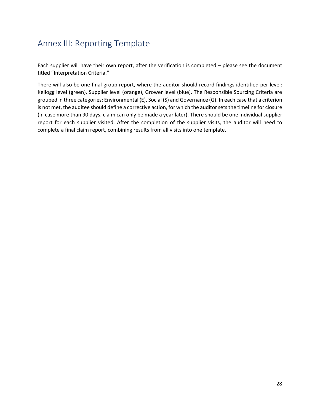## <span id="page-27-0"></span>Annex III: Reporting Template

Each supplier will have their own report, after the verification is completed – please see the document titled "Interpretation Criteria."

There will also be one final group report, where the auditor should record findings identified per level: Kellogg level (green), Supplier level (orange), Grower level (blue). The Responsible Sourcing Criteria are grouped in three categories: Environmental (E), Social (S) and Governance (G). In each case that a criterion is not met, the auditee should define a corrective action, for which the auditor sets the timeline for closure (in case more than 90 days, claim can only be made a year later). There should be one individual supplier report for each supplier visited. After the completion of the supplier visits, the auditor will need to complete a final claim report, combining results from all visits into one template.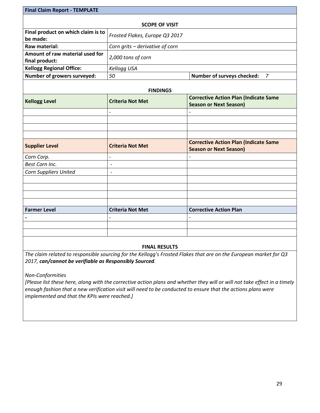## **Final Claim Report - TEMPLATE SCOPE OF VISIT Final product on which claim is to be made:** *Frosted Flakes, Europe Q3 2017* **Raw material:** *Corn grits – derivative of corn* **Amount of raw material used for final product:** *2,000 tons of corn* **Kellogg Regional Office:** *Kellogg USA* **Number of growers surveyed:**  $\begin{array}{c} |50| & 50 \end{array}$  Number of surveys checked: 7 **FINDINGS Kellogg Level Criteria Not Met Corrective Action Plan (Indicate Same Season or Next Season)** *- -* **Supplier Level Criteria Not Met Corrective Action Plan (Indicate Same Season or Next Season)** *Corn Corp. - - Best Corn Inc. - Corn Suppliers United -* **Farmer Level Criteria Not Met Corrective Action Plan -** *- -*

#### **FINAL RESULTS**

*The claim related to responsible sourcing for the Kellogg's Frosted Flakes that are on the European market for Q3 2017, can/cannot be verifiable as Responsibly Sourced.* 

*Non-Conformities*

*[Please list these here, along with the corrective action plans and whether they will or will not take effect in a timely enough fashion that a new verification visit will need to be conducted to ensure that the actions plans were implemented and that the KPIs were reached.]*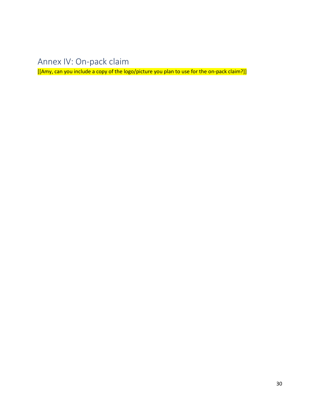## <span id="page-29-0"></span>Annex IV: On-pack claim

[[Amy, can you include a copy of the logo/picture you plan to use for the on-pack claim?]]